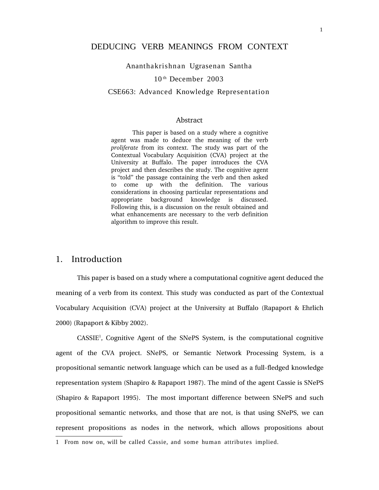Ananthakrishnan Ugrasenan Santha

#### 10 th December 2003

#### CSE663: Advanced Knowledge Representation

### Abstract

This paper is based on a study where a cognitive agent was made to deduce the meaning of the verb *proliferate* from its context. The study was part of the Contextual Vocabulary Acquisition (CVA) project at the University at Buffalo. The paper introduces the CVA project and then describes the study. The cognitive agent is "told" the passage containing the verb and then asked to come up with the definition. The various considerations in choosing particular representations and appropriate background knowledge is discussed. Following this, is a discussion on the result obtained and what enhancements are necessary to the verb definition algorithm to improve this result.

# 1. Introduction

This paper is based on a study where a computational cognitive agent deduced the meaning of a verb from its context. This study was conducted as part of the Contextual Vocabulary Acquisition (CVA) project at the University at Buffalo (Rapaport & Ehrlich 2000) (Rapaport & Kibby 2002).

CASSIE<sup>1</sup> , Cognitive Agent of the SNePS System, is the computational cognitive agent of the CVA project. SNePS, or Semantic Network Processing System, is a propositional semantic network language which can be used as a full-fledged knowledge representation system (Shapiro & Rapaport 1987). The mind of the agent Cassie is SNePS (Shapiro & Rapaport 1995). The most important difference between SNePS and such propositional semantic networks, and those that are not, is that using SNePS, we can represent propositions as nodes in the network, which allows propositions about

<sup>1</sup> From now on, will be called Cassie, and some human attributes implied.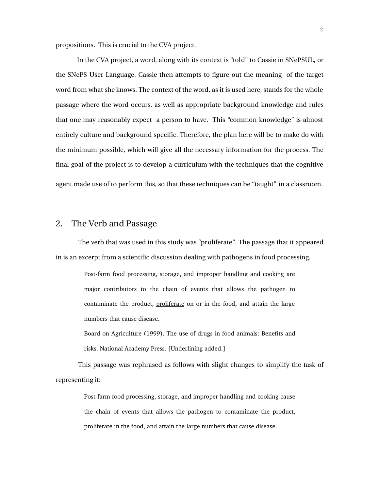propositions. This is crucial to the CVA project.

In the CVA project, a word, along with its context is "told" to Cassie in SNePSUL, or the SNePS User Language. Cassie then attempts to figure out the meaning of the target word from what she knows. The context of the word, as it is used here, stands for the whole passage where the word occurs, as well as appropriate background knowledge and rules that one may reasonably expect a person to have. This "common knowledge" is almost entirely culture and background specific. Therefore, the plan here will be to make do with the minimum possible, which will give all the necessary information for the process. The final goal of the project is to develop a curriculum with the techniques that the cognitive agent made use of to perform this, so that these techniques can be "taught" in a classroom.

### 2. The Verb and Passage

The verb that was used in this study was "proliferate". The passage that it appeared in is an excerpt from a scientific discussion dealing with pathogens in food processing.

> Post-farm food processing, storage, and improper handling and cooking are major contributors to the chain of events that allows the pathogen to contaminate the product, proliferate on or in the food, and attain the large numbers that cause disease.

> Board on Agriculture (1999). The use of drugs in food animals: Benefits and risks. National Academy Press. [Underlining added.]

This passage was rephrased as follows with slight changes to simplify the task of representing it:

> Post-farm food processing, storage, and improper handling and cooking cause the chain of events that allows the pathogen to contaminate the product, proliferate in the food, and attain the large numbers that cause disease.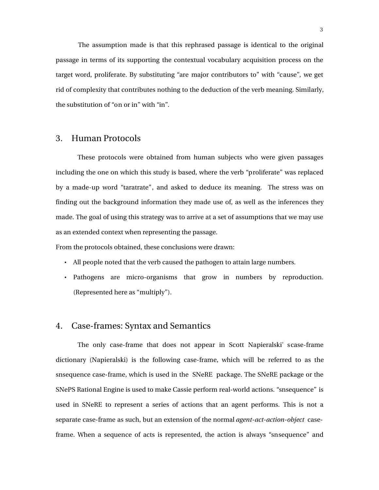The assumption made is that this rephrased passage is identical to the original passage in terms of its supporting the contextual vocabulary acquisition process on the target word, proliferate. By substituting "are major contributors to" with "cause", we get rid of complexity that contributes nothing to the deduction of the verb meaning. Similarly, the substitution of "on or in" with "in".

### 3. Human Protocols

These protocols were obtained from human subjects who were given passages including the one on which this study is based, where the verb "proliferate" was replaced by a made-up word "taratrate", and asked to deduce its meaning. The stress was on finding out the background information they made use of, as well as the inferences they made. The goal of using this strategy was to arrive at a set of assumptions that we may use as an extended context when representing the passage.

From the protocols obtained, these conclusions were drawn:

- All people noted that the verb caused the pathogen to attain large numbers.
- Pathogens are micro-organisms that grow in numbers by reproduction. (Represented here as "multiply").

## 4. Case-frames: Syntax and Semantics

The only case-frame that does not appear in Scott Napieralski' scase-frame dictionary (Napieralski) is the following case-frame, which will be referred to as the snsequence case-frame, which is used in the SNeRE package. The SNeRE package or the SNePS Rational Engine is used to make Cassie perform real-world actions. "snsequence" is used in SNeRE to represent a series of actions that an agent performs. This is not a separate case-frame as such, but an extension of the normal *agent-act-action-object* caseframe. When a sequence of acts is represented, the action is always "snsequence" and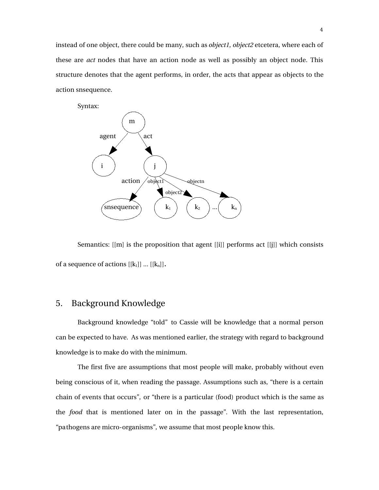instead of one object, there could be many, such as *object1*, *object2* etcetera, where each of these are *act* nodes that have an action node as well as possibly an object node. This structure denotes that the agent performs, in order, the acts that appear as objects to the action snsequence.

Syntax: m agent  $\overline{\phantom{a}}$  act i j  $\arctan$   $\rightarrow$  objectn object2  $\text{(s} \text{nsequence} \text{)} \quad (k_1 \text{)} \quad (k_2 \text{)} \text{...} (k_n)$ 

Semantics: [[m] is the proposition that agent [[i]] performs act [[j]] which consists of a sequence of actions  $[[k_1]] \dots [[k_n]]$ .

# 5. Background Knowledge

Background knowledge "told" to Cassie will be knowledge that a normal person can be expected to have. As was mentioned earlier, the strategy with regard to background knowledge is to make do with the minimum.

The first five are assumptions that most people will make, probably without even being conscious of it, when reading the passage. Assumptions such as, "there is a certain chain of events that occurs", or "there is a particular (food) product which is the same as the *food* that is mentioned later on in the passage". With the last representation, "pathogens are micro-organisms", we assume that most people know this.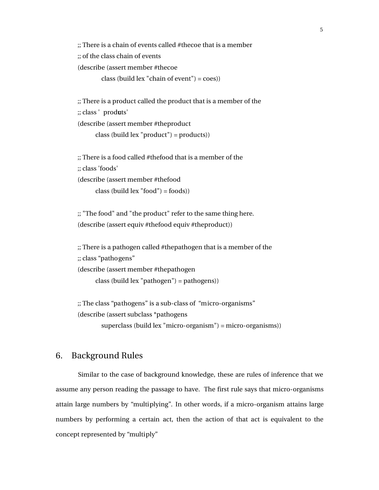;; There is a chain of events called #thecoe that is a member ;; of the class chain of events

(describe (assert member #thecoe

class (build lex "chain of event") = coes))

;; There is a product called the product that is a member of the ;; class 'produts' (describe (assert member #theproduct class (build lex "product") = products))

;; There is a food called #thefood that is a member of the ;; class 'foods' (describe (assert member #thefood class (build  $lex "food") = foods)$ )

;; "The food" and "the product" refer to the same thing here. (describe (assert equiv #thefood equiv #theproduct))

;; There is a pathogen called #thepathogen that is a member of the ;; class "pathogens" (describe (assert member #thepathogen class (build lex "pathogen") = pathogens))

 $;$ ; The class "pathogens" is a sub-class of "micro-organisms" (describe (assert subclass \*pathogens

superclass (build lex "micro-organism") = micro-organisms))

# 6. Background Rules

Similar to the case of background knowledge, these are rules of inference that we assume any person reading the passage to have. The first rule says that micro-organisms attain large numbers by "multiplying". In other words, if a micro-organism attains large numbers by performing a certain act, then the action of that act is equivalent to the concept represented by "multiply"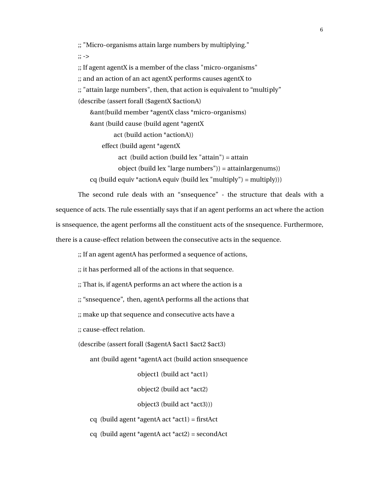$\gamma$ ; "Micro-organisms attain large numbers by multiplying."

 $\frac{1}{2}$  :  $\frac{1}{2}$ 

 $\gamma$ ; If agent agentX is a member of the class "micro-organisms"

;; and an action of an act agentX performs causes agentX to

;; "attain large numbers", then, that action is equivalent to "multiply"

(describe (assert forall (\$agentX \$actionA)

&ant(build member \*agentX class \*micro-organisms)

&ant (build cause (build agent \*agentX

act (build action \*actionA))

effect (build agent \*agentX

act (build action (build lex "attain") = attain

object (build lex "large numbers")) = attainlargenums))

cq (build equiv \*actionA equiv (build lex "multiply") = multiply)))

The second rule deals with an "snsequence" - the structure that deals with a sequence of acts. The rule essentially says that if an agent performs an act where the action is snsequence, the agent performs all the constituent acts of the snsequence. Furthermore, there is a cause-effect relation between the consecutive acts in the sequence.

;; If an agent agentA has performed a sequence of actions,

;; it has performed all of the actions in that sequence.

;; That is, if agentA performs an act where the action is a

;; "snsequence", then, agentA performs all the actions that

;; make up that sequence and consecutive acts have a

;; cause-effect relation.

(describe (assert forall (\$agentA \$act1 \$act2 \$act3)

ant (build agent \*agentA act (build action snsequence

object1 (build act \*act1)

object2 (build act \*act2)

object3 (build act \*act3)))

cq (build agent \*agentA act \*act1) = firstAct

cq (build agent \*agentA act \*act2) = secondAct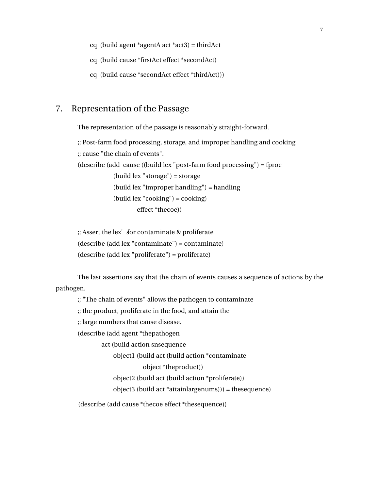- cq (build agent \*agentA act \*act3) = thirdAct
- cq (build cause \*firstAct effect \*secondAct)
- cq (build cause \*secondAct effect \*thirdAct)))

# 7. Representation of the Passage

The representation of the passage is reasonably straight-forward.

;; Post-farm food processing, storage, and improper handling and cooking ;; cause "the chain of events". (describe (add cause ((build lex "post-farm food processing") = fproc (build lex "storage") = storage (build lex "improper handling") = handling (build lex "cooking") = cooking) effect \*thecoe))

 $;$ ; Assert the lex' sfor contaminate & proliferate (describe (add lex "contaminate") = contaminate) (describe (add lex "proliferate") = proliferate)

The last assertions say that the chain of events causes a sequence of actions by the pathogen.

;; "The chain of events" allows the pathogen to contaminate

;; the product, proliferate in the food, and attain the

;; large numbers that cause disease.

(describe (add agent \*thepathogen

act (build action snsequence

object1 (build act (build action \*contaminate

object \*theproduct))

object2 (build act (build action \*proliferate))

object3 (build act \*attainlargenums))) = thesequence)

(describe (add cause \*thecoe effect \*thesequence))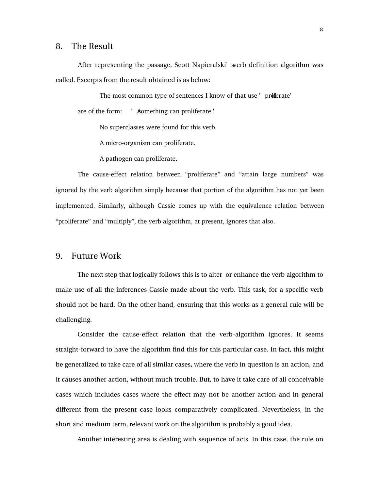### 8. The Result

After representing the passage, Scott Napieralski' sverb definition algorithm was called. Excerpts from the result obtained is as below:

The most common type of sentences I know of that use ' proflerate' are of the form: ' A something can proliferate.'

No superclasses were found for this verb.

A micro-organism can proliferate.

A pathogen can proliferate.

The cause-effect relation between "proliferate" and "attain large numbers" was ignored by the verb algorithm simply because that portion of the algorithm has not yet been implemented. Similarly, although Cassie comes up with the equivalence relation between "proliferate" and "multiply", the verb algorithm, at present, ignores that also.

### 9. Future Work

The next step that logically follows this is to alter or enhance the verb algorithm to make use of all the inferences Cassie made about the verb. This task, for a specific verb should not be hard. On the other hand, ensuring that this works as a general rule will be challenging.

Consider the cause-effect relation that the verb-algorithm ignores. It seems straight-forward to have the algorithm find this for this particular case. In fact, this might be generalized to take care of all similar cases, where the verb in question is an action, and it causes another action, without much trouble. But, to have it take care of all conceivable cases which includes cases where the effect may not be another action and in general different from the present case looks comparatively complicated. Nevertheless, in the short and medium term, relevant work on the algorithm is probably a good idea.

Another interesting area is dealing with sequence of acts. In this case, the rule on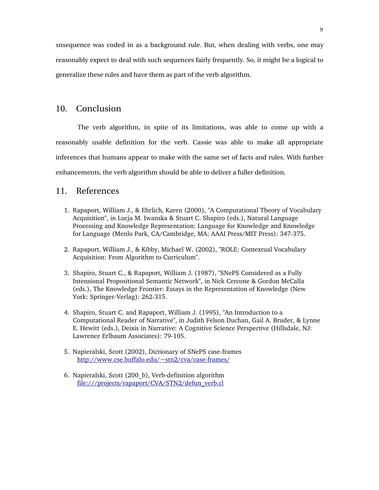snsequence was coded in as a background rule. But, when dealing with verbs, one may reasonably expect to deal with such sequences fairly frequently. So, it might be a logical to generalize these rules and have them as part of the verb algorithm.

## 10. Conclusion

The verb algorithm, in spite of its limitations, was able to come up with a reasonably usable definition for the verb. Cassie was able to make all appropriate inferences that humans appear to make with the same set of facts and rules. With further enhancements, the verb algorithm should be able to deliver a fuller definition.

### 11. References

- 1. Rapaport, William J., & Ehrlich, Karen (2000), "A Computational Theory of Vocabulary Acquisition", in Lucja M. Iwanska & Stuart C. Shapiro (eds.), Natural Language Processing and Knowledge Representation: Language for Knowledge and Knowledge for Language (Menlo Park, CA/Cambridge, MA: AAAI Press/MIT Press): 347-375.
- 2. Rapaport, William J., & Kibby, Michael W. (2002), "ROLE: Contextual Vocabulary Acquisition: From Algorithm to Curriculum".
- 3. Shapiro, Stuart C., & Rapaport, William J. (1987), "SNePS Considered as a Fully Intensional Propositional Semantic Network", in Nick Cercone & Gordon McCalla (eds.), The Knowledge Frontier: Essays in the Representation of Knowledge (New York: Springer-Verlag): 262-315.
- 4. Shapiro, Stuart C. and Rapaport, William J. (1995), "An Introduction to a Computational Reader of Narrative", in Judith Felson Duchan, Gail A. Bruder, & Lynne E. Hewitt (eds.), Deixis in Narrative: A Cognitive Science Perspective (Hillsdale, NJ: Lawrence Erlbaum Associates): 79-105.
- 5. Napieralski, Scott (2002), Dictionary of SNePS case-frames http://www.cse.buffalo.edu/~stn2/cva/case-frames/
- 6. Napieralski, Scott (200 b), Verb-definition algorithm file:///projects/rapaport/CVA/STN2/defun\_verb.cl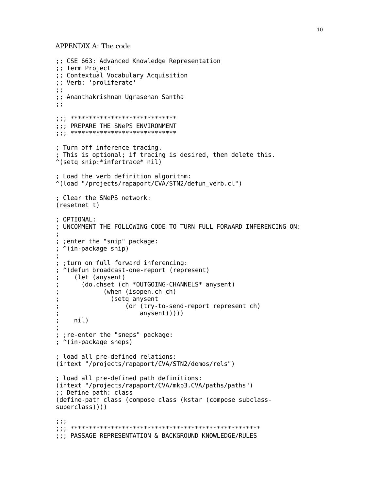APPENDIX A: The code

```
;; CSE 663: Advanced Knowledge Representation
;; Term Project
;; Contextual Vocabulary Acquisition
;; Verb: 'proliferate'
\ddot{ };; Ananthakrishnan Ugrasenan Santha
\ddot{z};;; PREPARE THE SNePS ENVIRONMENT
; Turn off inference tracing.
; This is optional; if tracing is desired, then delete this.
\hat{\ }(setq snip:*infertrace* nil)
; Load the verb definition algorithm:
^(load "/projects/rapaport/CVA/STN2/defun_verb.cl")
; Clear the SNePS network:
(resetnet t); OPTIONAL:
: UNCOMMENT THE FOLLOWING CODE TO TURN FULL FORWARD INFERENCING ON:
; ; enter the "snip" package:
; ^(in-package snip)
; ; turn on full forward inferencing:
; \hat{ } (defun broadcast-one-report (represent)
    (let (anysent)
      (do.chset (ch *OUTGOING-CHANNELS* anysent)
            (when (isopen.ch ch)
              (setq anysent
                  (or (try-to-send-report represent ch)
                     anysent))))÷
    nil); ; re-enter the "sneps" package:
; ^(in-package sneps)
; load all pre-defined relations:
(intext "/projects/rapaport/CVA/STN2/demos/rels")
; load all pre-defined path definitions:
(intext "/projects/rapaport/CVA/mkb3.CVA/paths/paths")
;; Define path: class
(define-path class (compose class (kstar (compose subclass-
superclass)))
; ; ;;;; PASSAGE REPRESENTATION & BACKGROUND KNOWLEDGE/RULES
```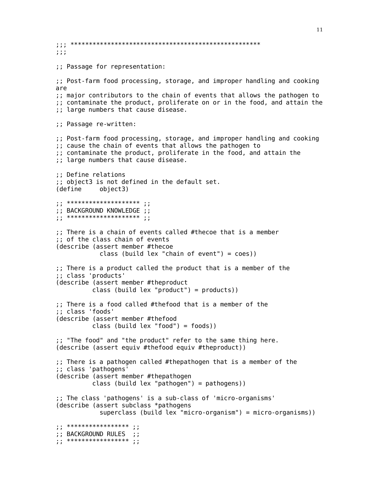$7.77$ ;; Passage for representation: ;; Post-farm food processing, storage, and improper handling and cooking are ;; major contributors to the chain of events that allows the pathogen to ;; contaminate the product, proliferate on or in the food, and attain the ;; large numbers that cause disease. ;; Passage re-written: ;; Post-farm food processing, storage, and improper handling and cooking ;; cause the chain of events that allows the pathogen to ;; contaminate the product, proliferate in the food, and attain the ;; large numbers that cause disease. :: Define relations ;; object3 is not defined in the default set. object3) (define) ... \*\*\*\*\*\*\*\*\*\*\*\*\*\*\*\*\*\*\*\*\*\* , , ;; BACKGROUND KNOWLEDGE ;; ,, \*\*\*\*\*\*\*\*\*\*\*\*\*\*\*\*\*\*\*\*\*\* ,, ;; There is a chain of events called #thecoe that is a member ;; of the class chain of events (describe (assert member #thecoe class (build lex "chain of event") =  $\cos$ )) ;; There is a product called the product that is a member of the ;; class 'products' (describe (assert member #theproduct class (build lex "product") =  $product$ )) ;; There is a food called #thefood that is a member of the ;; class 'foods' (describe (assert member #thefood class (build lex "food") =  $foods)$ ) ;; "The food" and "the product" refer to the same thing here. (describe (assert equiv #thefood equiv #theproduct)) ;; There is a pathogen called #thepathogen that is a member of the ;; class 'pathogens' (describe (assert member #thepathogen) class (build lex "pathogen") = pathogens)) ;; The class 'pathogens' is a sub-class of 'micro-organisms' (describe (assert subclass \*pathogens superclass (build lex "micro-organism") = micro-organisms)) . . \*\*\*\*\*\*\*\*\*\*\*\*\*\*\*\*\*\* . . ;; BACKGROUND RULES ;;  $\cdots$  \*\*\*\*\*\*\*\*\*\*\*\*\*\*\*\*\*\*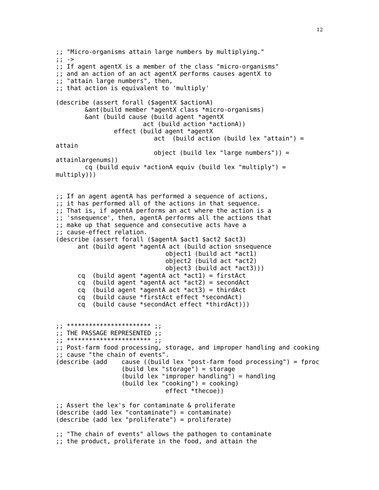;; "Micro-organisms attain large numbers by multiplying." ;; -> ;; If agent agentX is a member of the class "micro-organisms" ;; and an action of an act agentX performs causes agentX to ;; "attain large numbers", then, ;; that action is equivalent to 'multiply' (describe (assert forall (\$agentX \$actionA) &ant(build member \*agentX class \*micro-organisms) &ant (build cause (build agent \*agentX act (build action \*actionA)) effect (build agent \*agentX act (build action (build lex "attain") = attain object (build lex "large numbers")) = attainlargenums)) cq (build equiv \*actionA equiv (build lex "multiply") =  $multiply))$ ) ;; If an agent agentA has performed a sequence of actions, ;; it has performed all of the actions in that sequence. ;; That is, if agentA performs an act where the action is a ;; 'snsequence', then, agentA performs all the actions that ;; make up that sequence and consecutive acts have a ;; cause-effect relation. (describe (assert forall (\$agentA \$act1 \$act2 \$act3) ant (build agent \*agentA act (build action snsequence object1 (build act \*act1) object2 (build act \*act2) object3 (build act \*act3))) cq (build agent \*agentA act \*act1) = firstAct cq (build agent \*agentA act \*act2) = secondAct cq (build agent \*agentA act \*act3) = thirdAct cq (build cause \*firstAct effect \*secondAct) cq (build cause \*secondAct effect \*thirdAct))) ; \*\*\*\*\*\*\*\*\*\*\*\*\*\*\*\*\*\*\*\*\*\*\*\*\*\*\*\* ;; THE PASSAGE REPRESENTED ;; ; \*\*\*\*\*\*\*\*\*\*\*\*\*\*\*\*\*\*\*\*\*\*\*\*\*\*\*\* ;; Post-farm food processing, storage, and improper handling and cooking ;; cause "the chain of events". (describe (add cause ((build lex "post-farm food processing") = fproc (build lex "storage") = storage (build lex "improper handling") = handling (build lex "cooking") = cooking) effect \*thecoe)) ;; Assert the lex's for contaminate & proliferate (describe (add lex "contaminate") = contaminate) (describe (add lex "proliferate") = proliferate) ;; "The chain of events" allows the pathogen to contaminate ;; the product, proliferate in the food, and attain the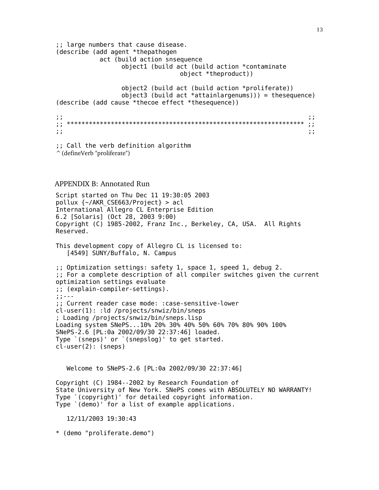;; large numbers that cause disease. (describe (add agent \*thepathogen act (build action snsequence object1 (build act (build action \*contaminate object \*theproduct)) object2 (build act (build action \*proliferate)) object3 (build act \*attainlargenums))) = thesequence) (describe (add cause \*thecoe effect \*thesequence)) ;; ;; ;; \*\*\*\*\*\*\*\*\*\*\*\*\*\*\*\*\*\*\*\*\*\*\*\*\*\*\*\*\*\*\*\*\*\*\*\*\*\*\*\*\*\*\*\*\*\*\*\*\*\*\*\*\*\*\*\*\*\*\*\*\*\*\*\*\* ;; ;; ;; ;; Call the verb definition algorithm ^(defineVerb "proliferate") APPENDIX B: Annotated Run Script started on Thu Dec 11 19:30:05 2003 pollux {~/AKR\_CSE663/Project} > acl International Allegro CL Enterprise Edition 6.2 [Solaris] (Oct 28, 2003 9:00) Copyright (C) 1985-2002, Franz Inc., Berkeley, CA, USA. All Rights Reserved. This development copy of Allegro CL is licensed to: [4549] SUNY/Buffalo, N. Campus ;; Optimization settings: safety 1, space 1, speed 1, debug 2. ;; For a complete description of all compiler switches given the current optimization settings evaluate ;; (explain-compiler-settings). ;;--- ;; Current reader case mode: :case-sensitive-lower cl-user(1): :ld /projects/snwiz/bin/sneps ; Loading /projects/snwiz/bin/sneps.lisp Loading system SNePS...10% 20% 30% 40% 50% 60% 70% 80% 90% 100% SNePS-2.6 [PL:0a 2002/09/30 22:37:46] loaded. Type `(sneps)' or `(snepslog)' to get started. cl-user(2): (sneps) Welcome to SNePS-2.6 [PL:0a 2002/09/30 22:37:46] Copyright (C) 1984--2002 by Research Foundation of State University of New York. SNePS comes with ABSOLUTELY NO WARRANTY! Type `(copyright)' for detailed copyright information. Type `(demo)' for a list of example applications. 12/11/2003 19:30:43 \* (demo "proliferate.demo")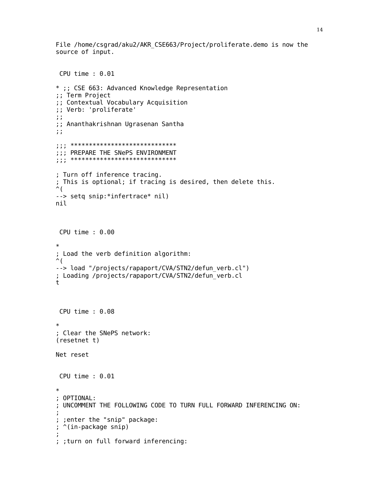File /home/csgrad/aku2/AKR CSE663/Project/proliferate.demo is now the source of input.

```
CPU time : 0.01* ;; CSE 663: Advanced Knowledge Representation
;; Term Project
;; Contextual Vocabulary Acquisition
;; Verb: 'proliferate'
\ddot{ };; Ananthakrishnan Ugrasenan Santha
\ddot{ };;; PREPARE THE SNePS ENVIRONMENT
; Turn off inference tracing.
; This is optional; if tracing is desired, then delete this.
\hat{\mathcal{L}}--> setq snip:*infertrace* nil)
nil
 CPU time : 0.00\ast; Load the verb definition algorithm:
\hat{\mathcal{L}}--> load "/projects/rapaport/CVA/STN2/defun verb.cl")
; Loading /projects/rapaport/CVA/STN2/defun verb.cl
t
CPU time : 0.08\ast; Clear the SNePS network:
(resetnet t)
Net reset
CPU time : 0.01\ast; OPTIONAL:
; UNCOMMENT THE FOLLOWING CODE TO TURN FULL FORWARD INFERENCING ON:
; ; enter the "snip" package:
; ^(in-package snip)
; ; turn on full forward inferencing:
```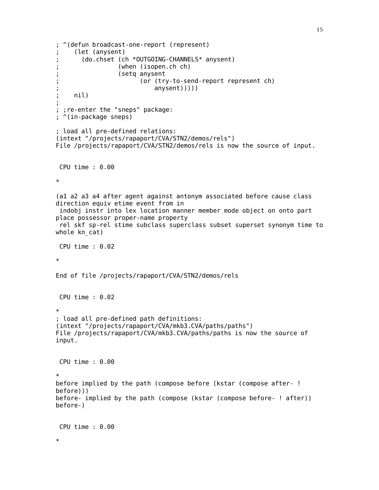```
; ^(defun broadcast-one-report (represent)
; (let (anysent)
       ; (do.chset (ch *OUTGOING-CHANNELS* anysent)
; (when (isopen.ch ch)
; (setq anysent
; (or (try-to-send-report represent ch)
                          anysent))))nil)
;
; ;re-enter the "sneps" package:
; ^(in-package sneps)
; load all pre-defined relations:
(intext "/projects/rapaport/CVA/STN2/demos/rels")
File /projects/rapaport/CVA/STN2/demos/rels is now the source of input.
CPU time : 0.00
*
(a1 a2 a3 a4 after agent against antonym associated before cause class
direction equiv etime event from in
indobj instr into lex location manner member mode object on onto part
place possessor proper-name property
 rel skf sp-rel stime subclass superclass subset superset synonym time to
whole kn_cat)
CPU time : 0.02
*
End of file /projects/rapaport/CVA/STN2/demos/rels
CPU time : 0.02
*
; load all pre-defined path definitions:
(intext "/projects/rapaport/CVA/mkb3.CVA/paths/paths")
File /projects/rapaport/CVA/mkb3.CVA/paths/paths is now the source of
input.
CPU time : 0.00
*
before implied by the path (compose before (kstar (compose after- !
before)))
before- implied by the path (compose (kstar (compose before- ! after))
before-)
CPU time : 0.00
*
```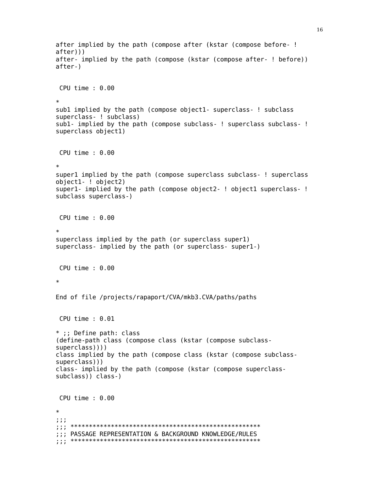```
after implied by the path (compose after (kstar (compose before- !
after))after- implied by the path (compose (kstar (compose after- ! before))
after-)
CPU time : 0.00subl implied by the path (compose objectl- superclass- ! subclass
superclass- ! subclass)
subl- implied by the path (compose subclass-! superclass subclass-!
superclass object1)
CPU time : 0.00superl implied by the path (compose superclass subclass- ! superclass
object1- ! object2)
super1- implied by the path (compose object2- ! object1 superclass- !
subclass superclass-)
CPU time : 0.00\astsuperclass implied by the path (or superclass super1)
superclass- implied by the path (or superclass- super1-)
CPU time : 0.00\astEnd of file /projects/rapaport/CVA/mkb3.CVA/paths/paths
CPU time : 0.01* ;; Define path: class
(define-path class (compose class (kstar (compose subclass-
superclass)))
class implied by the path (compose class (kstar (compose subclass-
superclass))class- implied by the path (compose (kstar (compose superclass-
subclass)) class-)
CPU time : 0.00\star7.7.7;;; PASSAGE REPRESENTATION & BACKGROUND KNOWLEDGE/RULES
```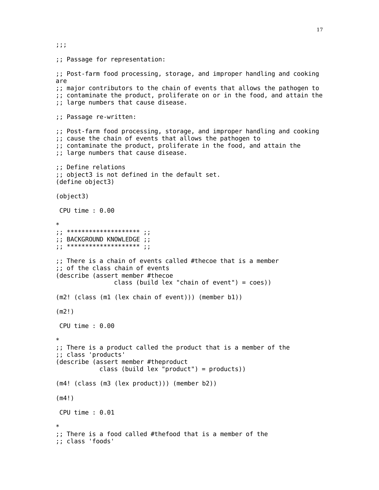;; Passage for representation: ;; Post-farm food processing, storage, and improper handling and cooking are ;; major contributors to the chain of events that allows the pathogen to ;; contaminate the product, proliferate on or in the food, and attain the ;; large numbers that cause disease. ;; Passage re-written: ;; Post-farm food processing, storage, and improper handling and cooking ;; cause the chain of events that allows the pathogen to ;; contaminate the product, proliferate in the food, and attain the ;; large numbers that cause disease. ;; Define relations ;; object3 is not defined in the default set. (define object3) (object3) CPU time : 0.00 \* ; \*\*\*\*\*\*\*\*\*\*\*\*\*\*\*\*\*\*\*\*\*\*\*\*\*\* ;; BACKGROUND KNOWLEDGE ;; ;; \*\*\*\*\*\*\*\*\*\*\*\*\*\*\*\*\*\*\*\* ;; ;; There is a chain of events called #thecoe that is a member ;; of the class chain of events (describe (assert member #thecoe class (build lex "chain of event") = coes)) (m2! (class (m1 (lex chain of event))) (member b1)) (m2!) CPU time : 0.00 \* ;; There is a product called the product that is a member of the ;; class 'products' (describe (assert member #theproduct class (build lex "product") =  $product$ )) (m4! (class (m3 (lex product))) (member b2)) (m4!) CPU time : 0.01 \* ;; There is a food called #thefood that is a member of the ;; class 'foods'

;;;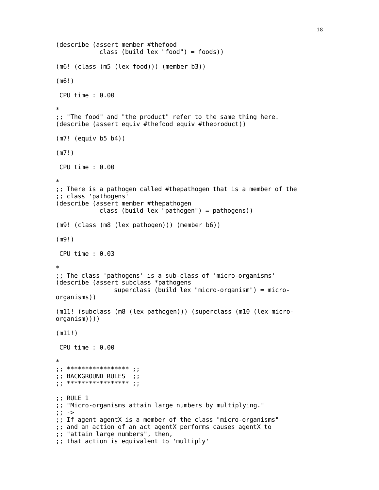```
(describe (assert member #thefood
            class (build lex "food") = foods))
(m6! (class (m5 (lex food))) (member b3))
(m6!)
CPU time : 0.00
*
;; "The food" and "the product" refer to the same thing here.
(describe (assert equiv #thefood equiv #theproduct))
(m7! (equiv b5 b4))
(m7!)
CPU time : 0.00
*
;; There is a pathogen called #thepathogen that is a member of the
;; class 'pathogens'
(describe (assert member #thepathogen
            class (build lex "pathogen") = pathogens))
(m9! (class (m8 (lex pathogen))) (member b6))
(m9!)
CPU time : 0.03
*
;; The class 'pathogens' is a sub-class of 'micro-organisms'
(describe (assert subclass *pathogens
                superclass (build lex "micro-organism") = micro-
organisms))
(m11! (subclass (m8 (lex pathogen))) (superclass (m10 (lex micro-
organism))))
(m11!)
CPU time : 0.00
*
;; **************** ;;
;; BACKGROUND RULES ;;
;<br>;;<br>;;
;; RULE 1
;; "Micro-organisms attain large numbers by multiplying."
;; ->
;; If agent agentX is a member of the class "micro-organisms"
;; and an action of an act agentX performs causes agentX to
;; "attain large numbers", then,
;; that action is equivalent to 'multiply'
```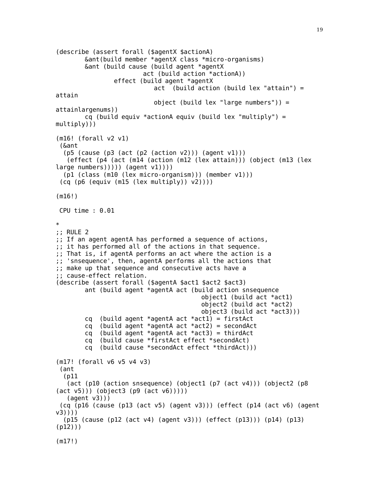```
(describe (assert forall ($agentX $actionA)
        &ant(build member *agentX class *micro-organisms)
        &ant (build cause (build agent *agentX
                        act (build action *actionA))
                effect (build agent *agentX
                           act (build action (build lex "attain") =
attain
                           object (build lex "large numbers")) =
attainlargenums))
        cq (build equiv *actionA equiv (build lex "multiply") =
multiply)))
(m16! (forall v2 v1)
 (&ant
  (p5 (cause (p3 (act (p2 (action v2))) (agent v1)))
   (effect (p4 (act (m14 (action (m12 (lex attain))) (object (m13 (lex
larea numbers)))) (agent v1)))
  (p1 (class (m10 (lex micro-organism))) (member v1)))
 (cq (p6 (equiv (m15 (lex multiply)) v2))))
(m16!)
 CPU time : 0.01
*
;; RULE 2
;; If an agent agentA has performed a sequence of actions,
;; it has performed all of the actions in that sequence.
;; That is, if agentA performs an act where the action is a
;; 'snsequence', then, agentA performs all the actions that
;; make up that sequence and consecutive acts have a
;; cause-effect relation.
(describe (assert forall ($agentA $act1 $act2 $act3)
        ant (build agent *agentA act (build action snsequence
                                        object1 (build act *act1)
                                        object2 (build act *act2)
                                        object3 (build act *act3)))
        cq (build agent *agentA act *act1) = firstAct
        cq (build agent *agentA act *act2) = secondAct
        cq (build agent *agentA act *act3) = thirdAct
        cq (build cause *firstAct effect *secondAct)
        cq (build cause *secondAct effect *thirdAct)))
(m17! (forall v6 v5 v4 v3)
 (ant
  (p11
   (act (p10 (action snsequence) (object1 (p7 (act v4))) (object2 (p8
(act v5))) (object3 (p9 (act v6)))))
   (aqent v3))(cq (p16 (cause (p13 (act v5) (agent v3))) (effect (p14 (act v6) (agent
v3))))
  (p15 (cause (p12 (act v4) (agent v3))) (effect (p13))) (p14) (p13)
(p12)))
(m17!)
```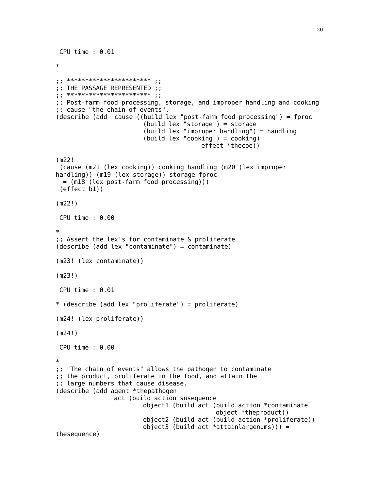```
CPU time : 0.01
*
; ; ************************ ;;
;; THE PASSAGE REPRESENTED ;;
; ****************************
;; Post-farm food processing, storage, and improper handling and cooking
;; cause "the chain of events".
(describe (add cause ((build lex "post-farm food processing") = fproc
                        (build lex "storage") = storage
                        (build lex "improper handling") = handling
                        (build lex "cooking") = cooking)
                                        effect *thecoe))
(m22!
 (cause (m21 (lex cooking)) cooking handling (m20 (lex improper
handling)) (m19 (lex storage)) storage fproc
 = (m18 (lex post-farm food processing)))
 (effect b1))
(m22!)
CPU time : 0.00
*
;; Assert the lex's for contaminate & proliferate
(describe (add lex "contaminate") = contaminate)
(m23! (lex contaminate))
(m23!)
CPU time : 0.01
* (describe (add lex "proliferate") = proliferate)
(m24! (lex proliferate))
(m24!)
CPU time : 0.00
*
;; "The chain of events" allows the pathogen to contaminate
;; the product, proliferate in the food, and attain the
;; large numbers that cause disease.
(describe (add agent *thepathogen
                act (build action snsequence
                        object1 (build act (build action *contaminate
                                            object *theproduct))
                        object2 (build act (build action *proliferate))
                        object3 (build act *attainlargenums))) =
thesequence)
```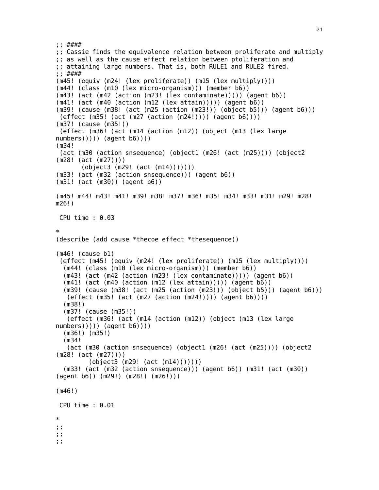```
;; ####
;; Cassie finds the equivalence relation between proliferate and multiply
;; as well as the cause effect relation between ptoliferation and
;; attaining large numbers. That is, both RULE1 and RULE2 fired.
;; ####
(m45! (equiv (m24! (lex proliferate)) (m15 (lex multiply))))
(m44! (class (m10 (lex micro-organism))) (member b6))
(m43! (act (m42 (action (m23! (lex contaminate))))) (agent b6))
(m41! (act (m40 (action (m12 (lex attain))))) (agent b6))
(m39! (cause (m38! (act (m25 (action (m23!)) (object b5))) (agent b6)))
 (effect (m35! (act (m27 (action (m24!)))) (agent b6))))
(m37! (cause (m35!))
 (effect (m36! (act (m14 (action (m12)) (object (m13 (lex large
numbers))))) (agent b6))))
(m34!
 (act (m30 (action snsequence) (object1 (m26! (act (m25)))) (object2
(m28! (act (m27))))
       (object3 (m29! (act (m14)))))))
(m33! (act (m32 (action snsequence))) (agent b6))
(m31! (act (m30)) (agent b6))
(m45! m44! m43! m41! m39! m38! m37! m36! m35! m34! m33! m31! m29! m28!
m26!)
 CPU time : 0.03
*
(describe (add cause *thecoe effect *thesequence))
(m46! (cause b1)
 (effect (m45! (equiv (m24! (lex proliferate)) (m15 (lex multiply))))
  (m44! (class (m10 (lex micro-organism))) (member b6))
  (m43! (act (m42 (action (m23! (lex contaminate))))) (agent b6))
  (m41! (act (m40 (action (m12 (lex attain))))) (agent b6))
  (m39! (cause (m38! (act (m25 (action (m23!)) (object b5))) (agent b6)))
   (effect (m35! (act (m27 (action (m24!)))) (agent b6))))
  (m38!)
  (m37! (cause (m35!))
   (effect (m36! (act (m14 (action (m12)) (object (m13 (lex large
numbers))))) (agent b6))))
  (m36!) (m35!)
  (m34!
   (act (m30 (action snsequence) (object1 (m26! (act (m25)))) (object2
(m28! (act (m27))))
         (object3 (m29! (act (m14)))))))
  (m33! (act (m32 (action snsequence))) (agent b6)) (m31! (act (m30))
(agent b6)) (m29!) (m28!) (m26!)))
(m46!)
CPU time : 0.01
*
;;
;;
;;
```